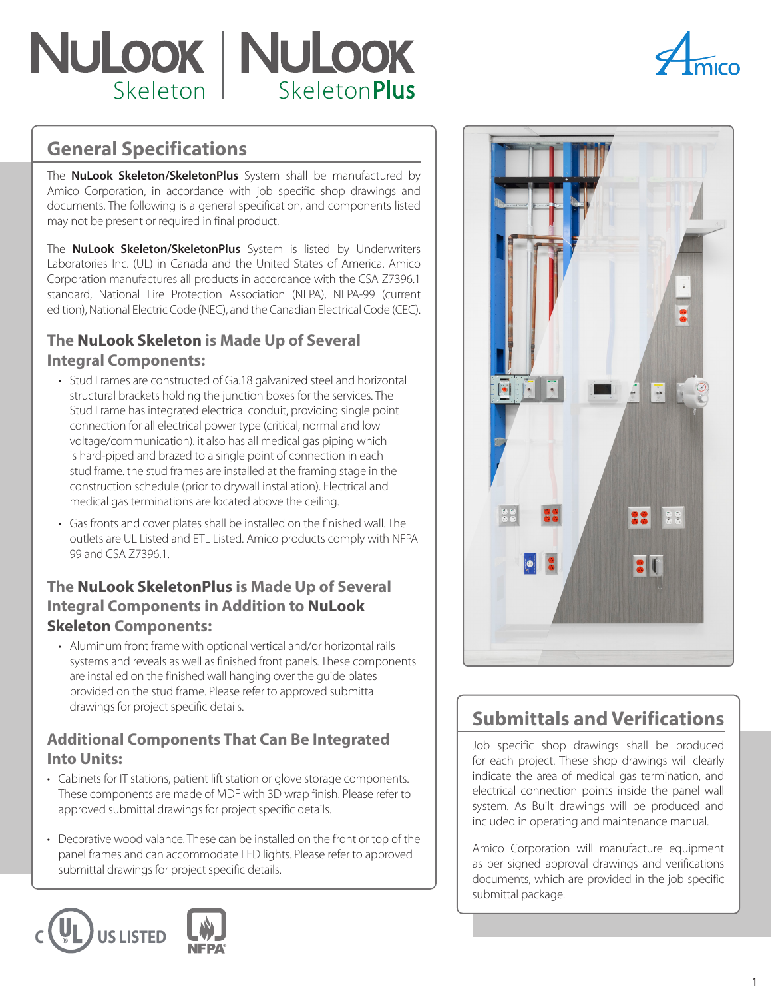# NULOOK | NULOOK SkeletonPlus Skeleton |



## **General Specifications**

The **NuLook Skeleton/SkeletonPlus** System shall be manufactured by Amico Corporation, in accordance with job specific shop drawings and documents. The following is a general specification, and components listed may not be present or required in final product.

The **NuLook Skeleton/SkeletonPlus** System is listed by Underwriters Laboratories Inc. (UL) in Canada and the United States of America. Amico Corporation manufactures all products in accordance with the CSA Z7396.1 standard, National Fire Protection Association (NFPA), NFPA-99 (current edition), National Electric Code (NEC), and the Canadian Electrical Code (CEC).

## **The NuLook Skeleton is Made Up of Several Integral Components:**

- Stud Frames are constructed of Ga.18 galvanized steel and horizontal structural brackets holding the junction boxes for the services. The Stud Frame has integrated electrical conduit, providing single point connection for all electrical power type (critical, normal and low voltage/communication). it also has all medical gas piping which is hard-piped and brazed to a single point of connection in each stud frame. the stud frames are installed at the framing stage in the construction schedule (prior to drywall installation). Electrical and medical gas terminations are located above the ceiling.
- Gas fronts and cover plates shall be installed on the finished wall. The outlets are UL Listed and ETL Listed. Amico products comply with NFPA 99 and CSA Z7396.1.

## **The NuLook SkeletonPlus is Made Up of Several Integral Components in Addition to NuLook Skeleton Components:**

• Aluminum front frame with optional vertical and/or horizontal rails systems and reveals as well as finished front panels. These components are installed on the finished wall hanging over the guide plates provided on the stud frame. Please refer to approved submittal drawings for project specific details.

### **Additional Components That Can Be Integrated Into Units:**

- Cabinets for IT stations, patient lift station or glove storage components. These components are made of MDF with 3D wrap finish. Please refer to approved submittal drawings for project specific details.
- Decorative wood valance. These can be installed on the front or top of the panel frames and can accommodate LED lights. Please refer to approved submittal drawings for project specific details.





## **Submittals and Verifications**

Job specific shop drawings shall be produced for each project. These shop drawings will clearly indicate the area of medical gas termination, and electrical connection points inside the panel wall system. As Built drawings will be produced and included in operating and maintenance manual.

Amico Corporation will manufacture equipment as per signed approval drawings and verifications documents, which are provided in the job specific submittal package.